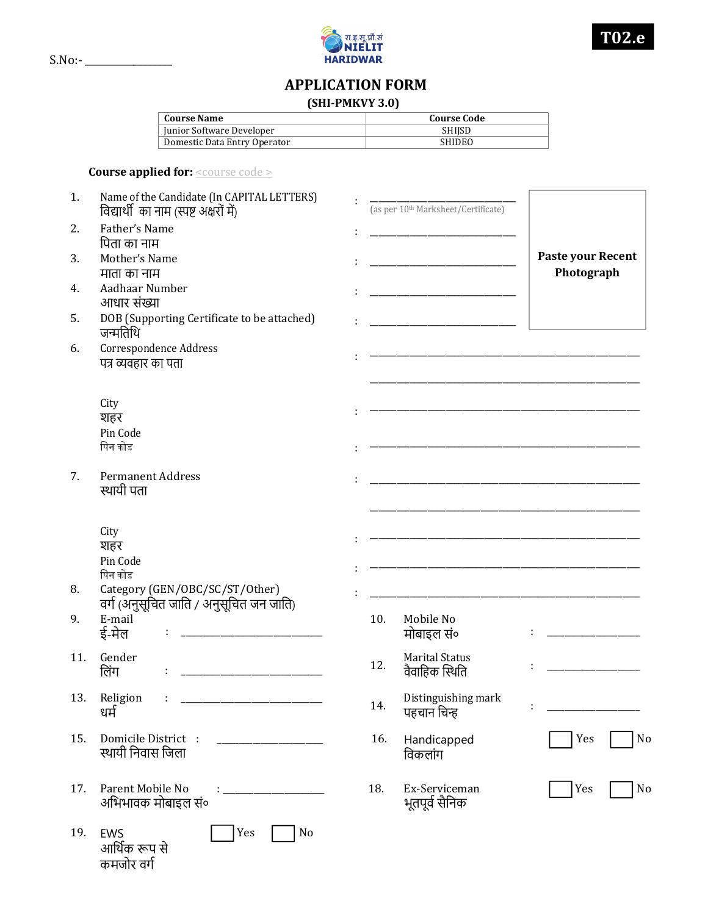

## APPLICATION FORM

## (SHI-PMKVY 3.0)

| <b>Course Name</b>           | Course Code   |  |  |  |
|------------------------------|---------------|--|--|--|
| Junior Software Developer    | SHIISD        |  |  |  |
| Domestic Data Entry Operator | <b>SHIDEO</b> |  |  |  |

## Course applied for: **<u><course code ></u>**

| 1.  | Name of the Candidate (In CAPITAL LETTERS)<br>विद्यार्थी का नाम (स्पष्ट अक्षरों में)                                                    |     | (as per 10 <sup>th</sup> Marksheet/Certificate)                                                                      |                                                                                           |
|-----|-----------------------------------------------------------------------------------------------------------------------------------------|-----|----------------------------------------------------------------------------------------------------------------------|-------------------------------------------------------------------------------------------|
| 2.  | Father's Name<br>पिता का नाम                                                                                                            |     | <u> 1989 - Johann Barbara, martin basalar basal da shekara 1980 - Johann Barbara (j. 1980)</u>                       |                                                                                           |
| 3.  | Mother's Name<br>माता का नाम                                                                                                            |     |                                                                                                                      | Paste your Recent<br>Photograph                                                           |
| 4.  | Aadhaar Number<br>आधार संख्या                                                                                                           |     | <u> 1980 - Johann Barn, mars ann an t-Amhair ann an t-A</u>                                                          |                                                                                           |
| 5.  | DOB (Supporting Certificate to be attached)<br>जन्मतिथि                                                                                 |     | the control of the control of the control of the control of the control of                                           |                                                                                           |
| 6.  | Correspondence Address<br>पत्र व्यवहार का पता                                                                                           |     |                                                                                                                      |                                                                                           |
|     | City                                                                                                                                    |     |                                                                                                                      |                                                                                           |
|     | शहर<br>Pin Code                                                                                                                         |     |                                                                                                                      |                                                                                           |
|     | पिन कोड                                                                                                                                 |     |                                                                                                                      |                                                                                           |
| 7.  | <b>Permanent Address</b><br>स्थायी पता                                                                                                  |     | <u> 1980 - Johann John Stone, market fransk konge og det ble større og det ble større og det ble større og det b</u> |                                                                                           |
|     | City                                                                                                                                    |     | the control of the control of the control of the control of the control of the control of                            |                                                                                           |
|     | शहर<br>Pin Code                                                                                                                         |     |                                                                                                                      |                                                                                           |
|     | पिन कोड                                                                                                                                 |     |                                                                                                                      | the control of the control of the control of the control of the control of the control of |
| 8.  | Category (GEN/OBC/SC/ST/Other)<br>वर्ग (अनुसूचित जाति / अनुसूचित जन जाति)                                                               |     |                                                                                                                      |                                                                                           |
| 9.  | E-mail<br>ई-मेल                                                                                                                         | 10. | Mobile No<br>मोबाइल सं०                                                                                              | <u> 1989 - Johann Barn, mars et al.</u>                                                   |
| 11. | Gender<br>लिंग<br><u> 1980 - Johann John Hermann, markt fyrir oedd y brenin y brenin ymgyr y brenin y brenin y brenin y brenin y br</u> | 12. | <b>Marital Status</b><br>वैवाहिक स्थिति                                                                              |                                                                                           |
| 13. | Religion<br>÷<br>धर्म                                                                                                                   | 14. | Distinguishing mark<br>पहचान चिन्ह                                                                                   |                                                                                           |
| 15. | Domicile District :<br>स्थायी निवास जिला                                                                                                | 16. | Handicapped<br>विकलांग                                                                                               | No<br>Yes                                                                                 |
| 17. | Parent Mobile No<br>अभिभावक मोबाइल सं०                                                                                                  | 18. | Ex-Serviceman<br>भूतपूर्व सैनिक                                                                                      | No<br>Yes                                                                                 |
| 19. | Yes<br>No<br><b>EWS</b><br>आर्थिक रूप से<br>कमजोर वर्ग                                                                                  |     |                                                                                                                      |                                                                                           |

S.No:- \_\_\_\_\_\_\_\_\_\_\_\_\_\_\_\_\_\_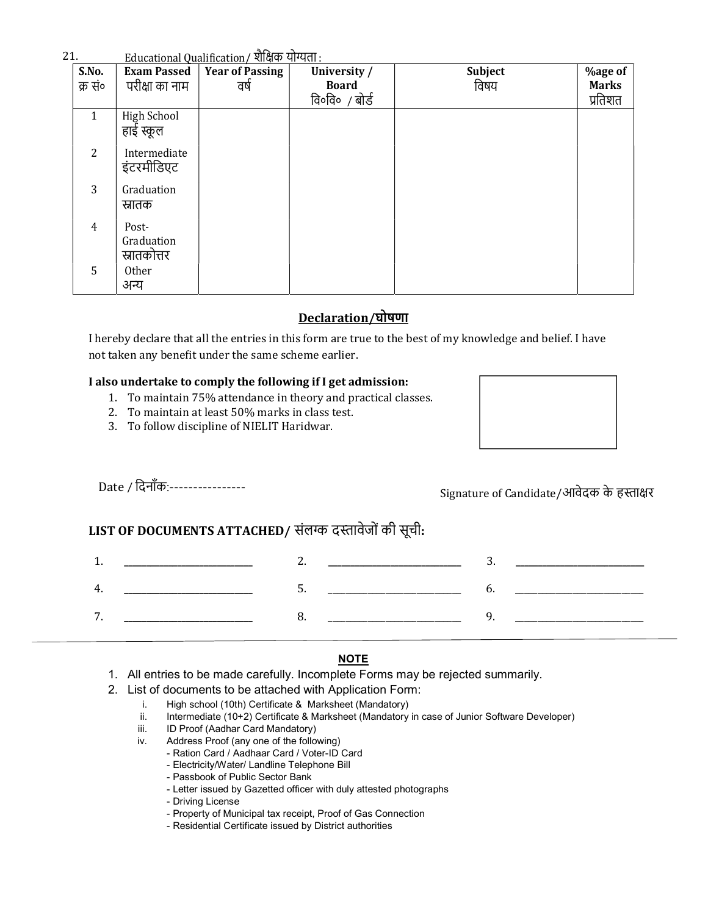## $21.$  Educational Qualification / शैक्षिक योग्यता  $\cdot$

| $\cdot$ 1.       |                                    | <u>Educational Qualification/ शैक्षिक योग्यता :</u><br><b>Exam Passed   Year of Passing   Un</b> |                                         |                 |                                |
|------------------|------------------------------------|--------------------------------------------------------------------------------------------------|-----------------------------------------|-----------------|--------------------------------|
| S.No.<br>क्र सं० | परीक्षा का नाम                     | वर्ष                                                                                             | University /<br>Board<br>वि०वि० / बोर्ड | Subject<br>विषय | <b>%age of</b><br><b>Marks</b> |
|                  |                                    |                                                                                                  |                                         |                 | प्रतिशत                        |
| $\mathbf{1}$     | High School<br>हाई स्कूल           |                                                                                                  |                                         |                 |                                |
| $\overline{2}$   | Intermediate<br>इंटरमीडिएट         |                                                                                                  |                                         |                 |                                |
| $\overline{3}$   | Graduation<br>स्रातक               |                                                                                                  |                                         |                 |                                |
| $\overline{4}$   | Post-<br>Graduation<br>स्रातकोत्तर |                                                                                                  |                                         |                 |                                |

# Declaration/घोषणा

I hereby declare that all the entries in this form are true to the best of my knowledge and belief. I have not taken any benefit under the same scheme earlier.

## I also undertake to comply the following if I get admission:

- 1. To maintain 75% attendance in theory and practical classes.
- 2. To maintain at least 50% marks in class test.
- 3. To follow discipline of NIELIT Haridwar.

# Date / दिनाँक:----------------

# LIST OF DOCUMENTS ATTACHED/ संलग्क दस्तावेजों की सूची:

|   |             | -- |  |        |
|---|-------------|----|--|--------|
| z | ___________ | .  |  |        |
| - |             |    |  | ______ |

### Ī NOTE

- 1. All entries to be made carefully. Incomplete Forms may be rejected summarily.
- 2. List of documents to be attached with Application Form:
	- i. High school (10th) Certificate & Marksheet (Mandatory)
	- ii. Intermediate (10+2) Certificate & Marksheet (Mandatory in case of Junior Software Developer)
	- iii. ID Proof (Aadhar Card Mandatory)
	- iv. Address Proof (any one of the following)
		- Ration Card / Aadhaar Card / Voter-ID Card
		- Electricity/Water/ Landline Telephone Bill
		- Passbook of Public Sector Bank
		- Letter issued by Gazetted officer with duly attested photographs
		- Driving License
		- Property of Municipal tax receipt, Proof of Gas Connection
		- Residential Certificate issued by District authorities